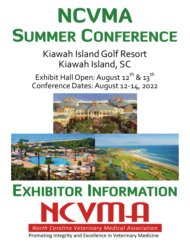# NCVMA SUMMER CONFERENCE

## Kiawah IslandGolf Resort Kiawah Island, SC

## Exhibit Hall Open: August  $12^{th}$  &  $13^{th}$ Conference Dates:August 12‐14, 2022





# EXHIBITOR INFORMATION

North Carolina Veterinary Medical Association

Promoting Integrity and Excellence in Veterinary Medicine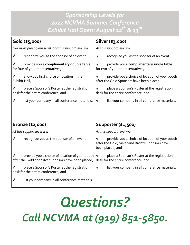## *Sponsorship Levels for 2022 NCVMA Summer Conference Exhibit Hall Open: August 12th & 13th*

| Gold (\$5,000)     |                                                                                                        | Silver (\$3,000)                                                                                                                    |  |  |  |
|--------------------|--------------------------------------------------------------------------------------------------------|-------------------------------------------------------------------------------------------------------------------------------------|--|--|--|
|                    | Our most prestigious level. For this support level we:                                                 | At this support level we:                                                                                                           |  |  |  |
| $\sqrt{}$          | recognize you as the sponsor of an event                                                               | $\sqrt{ }$<br>recognize you as the sponsor of an event                                                                              |  |  |  |
| $\sqrt{}$          | provide you a complimentary double table<br>for four of your representatives,                          | provide you a complimentary single table<br>$\sqrt{}$<br>for two of your representatives,                                           |  |  |  |
| √<br>Exhibit Hall, | allow you first choice of location in the                                                              | provide you a choice of location of your booth<br>$\sqrt{}$<br>after the Gold Sponsors have been placed,                            |  |  |  |
| √                  | place a Sponsor's Poster at the registration<br>desk for the entire conference, and                    | place a Sponsor's Poster at the registration<br>$\sqrt{}$<br>desk for the entire conference, and                                    |  |  |  |
| $\sqrt{}$          | list your company in all conference materials.                                                         | $\sqrt{ }$<br>list your company in all conference materials.                                                                        |  |  |  |
|                    |                                                                                                        |                                                                                                                                     |  |  |  |
|                    |                                                                                                        |                                                                                                                                     |  |  |  |
| Bronze (\$2,000)   |                                                                                                        | Supporter (\$1,500)                                                                                                                 |  |  |  |
|                    |                                                                                                        |                                                                                                                                     |  |  |  |
|                    | At this support level we:                                                                              | At this support level we:                                                                                                           |  |  |  |
| $\sqrt{ }$         | recognize you as the sponsor of an event                                                               | $\sqrt{ }$<br>provide you a choice of location of your booth<br>after the Gold, Silver and Bronze Sponsors have<br>been placed, and |  |  |  |
|                    | provide you a choice of location of your booth<br>after the Gold and Silver Sponsors have been placed, | $\sqrt{ }$<br>place a Sponsor's Poster at the registration<br>desk for the entire conference, and                                   |  |  |  |
|                    | place a Sponsor's Poster at the registration<br>desk for the entire conference, and                    | $\sqrt{ }$<br>list your company in all conference materials.                                                                        |  |  |  |

## *Questions? Call NCVMA at (919) 851‐5850.*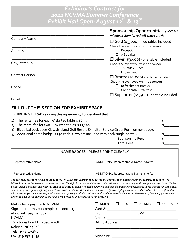## *Exhibitor's Contract for 2022 NCVMA Summer Conference Exhibit Hall Open: August 12th & 13th*

|                       | Sponsorship Opportunities: (SKIP TO<br>middle section for exhibit space only):      |
|-----------------------|-------------------------------------------------------------------------------------|
| Company Name          | $\Box$ Gold (\$5,000) - two tables included<br>Check the event you wish to sponsor: |
| Address               | Reception<br>□<br>A Speaker<br>□                                                    |
|                       | $\Box$ Silver (\$3,000) - one table included                                        |
| City/State/Zip        | Check the event you wish to sponsor:                                                |
|                       | Thursday Lunch                                                                      |
| <b>Contact Person</b> | Friday Lunch<br>◻                                                                   |
|                       | <b>Bronze (\$2,000)</b> - no table included<br>Check the event you wish to sponsor: |
| Phone                 | <b>Refreshment Breaks</b><br><b>Continental Breakfast</b>                           |
|                       | $\Box$ Supporter (\$1,500) - no table included                                      |

Email

### **FILL OUT THIS SECTION FOR EXHIBIT SPACE:**

EXHIBITING FEES‐By signing this agreement, I understand that:

| 1) The rental fee for each 6' skirted table is \$695.                                         |  |
|-----------------------------------------------------------------------------------------------|--|
| 2) The rental fee for two 6' skirted tables is \$1,190.                                       |  |
| 3) Electrical outlet see Kiawah Island Golf Resort Exhibitor Service Order Form on next page. |  |
| 4) Additional name badge is \$50 each. (Two are included with each single booth.)             |  |
| Sponsorship Fees:                                                                             |  |
| Total Fees:                                                                                   |  |

| <b>NAME BADGES - PLEASE PRINT CLEARLY</b> |                                           |  |  |
|-------------------------------------------|-------------------------------------------|--|--|
| Representative Name                       | ADDITIONAL Representative Name - \$50 fee |  |  |
| Representative Name                       | ADDITIONAL Representative Name - \$50 fee |  |  |

The company agrees to exhibit at the 2022 NCVMA Summer Conference by paying the above fees and abiding with the conference policies. The NCVMA Summer Conference committee reserves the right to accept exhibitors on a discretionary basis according to the conference objectives. The fees do not include drayage, placement or storage of crates or display-related equipment, additional carpeting or decorations, labor charges for carpenters, electricians, etc., special lighting or electrical power, and any other associated services. Upon receipt of a check or credit card number, a confirmation will be sent to you. If you cancel, a refund less a \$150 fee for administrative handling will be issued only upon written request; however, if you cancel *within 30 days of the conference, no refund will be issued unless the space can be resold.*

| Make check payable to NCVMA.<br>Sign and return your completed contract, | $\square$ AMEX<br>$Card \#$ : | $\Box$ VISA | $\square$ MCARD | $\Box$ DISCOVER |
|--------------------------------------------------------------------------|-------------------------------|-------------|-----------------|-----------------|
| along with payment to:                                                   |                               |             | CVV:            |                 |
| <b>NCVMA</b>                                                             | Name: _____________           |             |                 |                 |
| 1611 Jones Franklin Road, #108                                           |                               |             |                 |                 |
| Raleigh, NC 27606                                                        |                               |             |                 |                 |
| Tel: 919-851-5850                                                        |                               |             |                 |                 |
| Fax: 919-851-5859                                                        | Signature: ___________        |             |                 |                 |